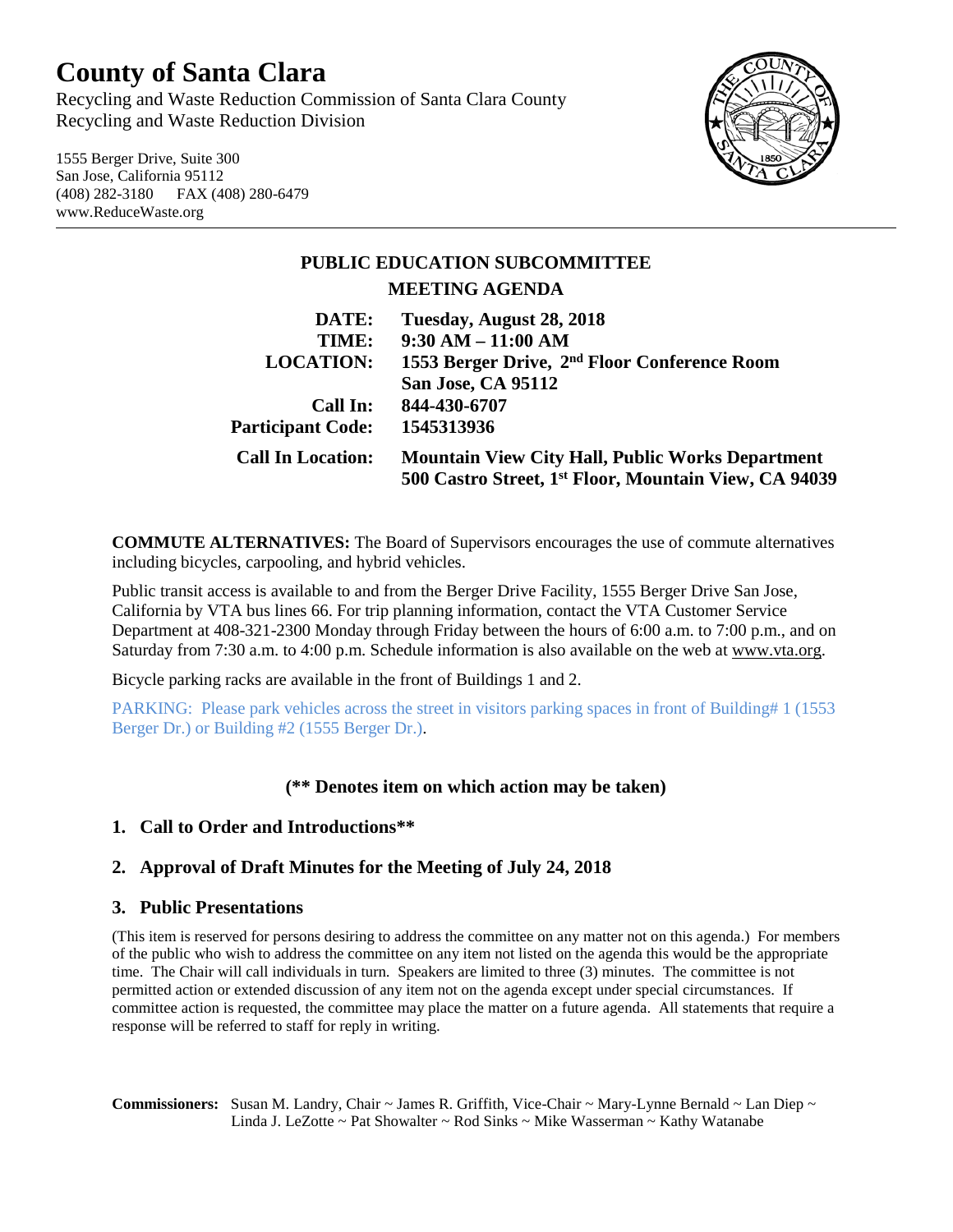# **County of Santa Clara**

Recycling and Waste Reduction Commission of Santa Clara County Recycling and Waste Reduction Division

1555 Berger Drive, Suite 300 San Jose, California 95112 (408) 282-3180 FAX (408) 280-6479 www.ReduceWaste.org



## **PUBLIC EDUCATION SUBCOMMITTEE MEETING AGENDA DATE: Tuesday, August 28, 2018**

| <i>D</i> aid.            | $1050a$ , August $20, 2010$                              |
|--------------------------|----------------------------------------------------------|
| TIME:                    | $9:30 AM - 11:00 AM$                                     |
| <b>LOCATION:</b>         | 1553 Berger Drive, 2 <sup>nd</sup> Floor Conference Room |
|                          | San Jose, CA 95112                                       |
| Call In:                 | 844-430-6707                                             |
| <b>Participant Code:</b> | 1545313936                                               |
| <b>Call In Location:</b> | <b>Mountain View City Hall, Public Works Department</b>  |
|                          | 500 Castro Street, 1st Floor, Mountain View, CA 94039    |

**COMMUTE ALTERNATIVES:** The Board of Supervisors encourages the use of commute alternatives including bicycles, carpooling, and hybrid vehicles.

Public transit access is available to and from the Berger Drive Facility, 1555 Berger Drive San Jose, California by VTA bus lines 66. For trip planning information, contact the VTA Customer Service Department at 408-321-2300 Monday through Friday between the hours of 6:00 a.m. to 7:00 p.m., and on Saturday from 7:30 a.m. to 4:00 p.m. Schedule information is also available on the web at [www.vta.org.](http://www.vta.org/)

Bicycle parking racks are available in the front of Buildings 1 and 2.

PARKING: Please park vehicles across the street in visitors parking spaces in front of Building# 1 (1553 Berger Dr.) or Building #2 (1555 Berger Dr.).

### **(\*\* Denotes item on which action may be taken)**

#### **1. Call to Order and Introductions\*\***

#### **2. Approval of Draft Minutes for the Meeting of July 24, 2018**

#### **3. Public Presentations**

(This item is reserved for persons desiring to address the committee on any matter not on this agenda.) For members of the public who wish to address the committee on any item not listed on the agenda this would be the appropriate time. The Chair will call individuals in turn. Speakers are limited to three (3) minutes. The committee is not permitted action or extended discussion of any item not on the agenda except under special circumstances. If committee action is requested, the committee may place the matter on a future agenda. All statements that require a response will be referred to staff for reply in writing.

**Commissioners:** Susan M. Landry, Chair ~ James R. Griffith, Vice-Chair ~ Mary-Lynne Bernald ~ Lan Diep ~ Linda J. LeZotte ~ Pat Showalter ~ Rod Sinks ~ Mike Wasserman ~ Kathy Watanabe